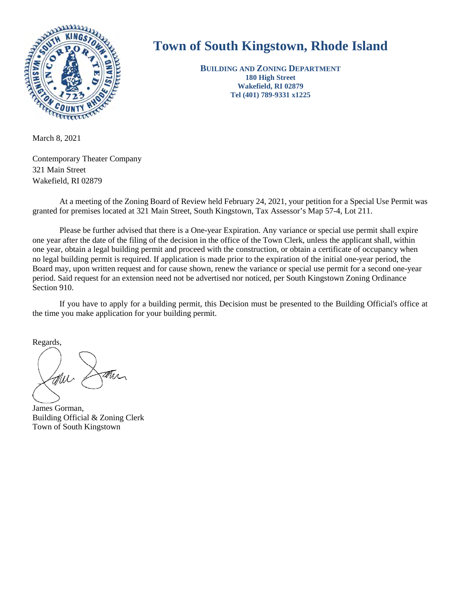

## **Town of South Kingstown, Rhode Island**

**BUILDING AND ZONING DEPARTMENT 180 High Street Wakefield, RI 02879 Tel (401) 789-9331 x1225** 

March 8, 2021

Contemporary Theater Company 321 Main Street Wakefield, RI 02879

At a meeting of the Zoning Board of Review held February 24, 2021, your petition for a Special Use Permit was granted for premises located at 321 Main Street, South Kingstown, Tax Assessor's Map 57-4, Lot 211.

Please be further advised that there is a One-year Expiration. Any variance or special use permit shall expire one year after the date of the filing of the decision in the office of the Town Clerk, unless the applicant shall, within one year, obtain a legal building permit and proceed with the construction, or obtain a certificate of occupancy when no legal building permit is required. If application is made prior to the expiration of the initial one-year period, the Board may, upon written request and for cause shown, renew the variance or special use permit for a second one-year period. Said request for an extension need not be advertised nor noticed, per South Kingstown Zoning Ordinance Section 910.

If you have to apply for a building permit, this Decision must be presented to the Building Official's office at the time you make application for your building permit.

Regards,

James Gorman, Building Official & Zoning Clerk Town of South Kingstown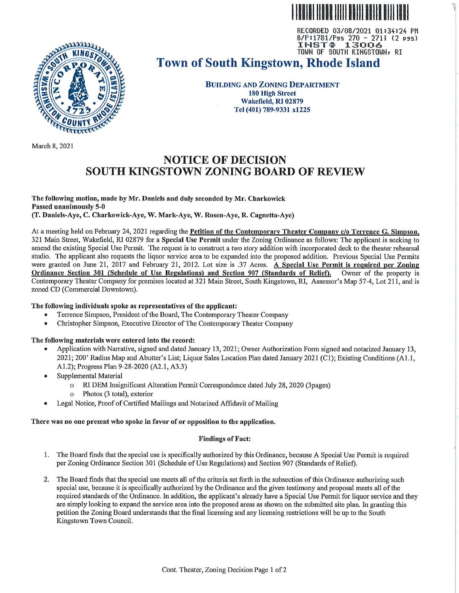RECORDED 03/08/2021 01:34:24 PM B/P:1781/Pss 270 - 271; (2 pss) 13006 **INST#** TOWN OF SOUTH KINGSTOWN, RI



# **Town of South Kingstown, Rhode Island**

**BUILDING AND ZONING DEPARTMENT 180 High Street** Wakefield, RI 02879 Tel (401) 789-9331 x1225

March 8, 2021

### **NOTICE OF DECISION** SOUTH KINGSTOWN ZONING BOARD OF REVIEW

The following motion, made by Mr. Daniels and duly seconded by Mr. Charkowick Passed unanimously 5-0 (T. Daniels-Aye, C. Charkowick-Aye, W. Mark-Aye, W. Rosen-Aye, R. Cagnetta-Aye)

At a meeting held on February 24, 2021 regarding the Petition of the Contemporary Theater Company c/o Terrence G. Simpson. 321 Main Street, Wakefield, RI 02879 for a Special Use Permit under the Zoning Ordinance as follows: The applicant is seeking to amend the existing Special Use Permit. The request is to construct a two story addition with incorporated deck to the theater rehearsal studio. The applicant also requests the liquor service area to be expanded into the proposed addition. Previous Special Use Permits were granted on June 21, 2017 and February 21, 2012. Lot size is .37 Acres. A Special Use Permit is required per Zoning Ordinance Section 301 (Schedule of Use Regulations) and Section 907 (Standards of Relief). Owner of the property is Contemporary Theater Company for premises located at 321 Main Street, South Kingstown, RI. Assessor's Map 57-4. Lot 211, and is zoned CD (Commercial Downtown).

#### The following individuals spoke as representatives of the applicant:

- Terrence Simpson, President of the Board. The Contemporary Theater Company
- Christopher Simpson, Executive Director of The Contemporary Theater Company

#### The following materials were entered into the record:

- Application with Narrative, signed and dated January 13, 2021; Owner Authorization Form signed and notarized January 13, 2021; 200' Radius Map and Abutter's List; Liquor Sales Location Plan dated January 2021 (C1); Existing Conditions (A1.1, A1.2); Progress Plan 9-28-2020 (A2.1, A3.3)
- Supplemental Material
	- RI DEM Insignificant Alteration Permit Correspondence dated July 28, 2020 (3pages)
	- Photos (3 total), exterior
- Legal Notice, Proof of Certified Mailings and Notarized Affidavit of Mailing

#### There was no one present who spoke in favor of or opposition to the application.

#### **Findings of Fact:**

- 1. The Board finds that the special use is specifically authorized by this Ordinance, because A Special Use Permit is required per Zoning Ordinance Section 301 (Schedule of Use Regulations) and Section 907 (Standards of Relief).
- 2. The Board finds that the special use meets all of the criteria set forth in the subsection of this Ordinance authorizing such special use, because it is specifically authorized by the Ordinance and the given testimony and proposal meets all of the required standards of the Ordinance. In addition, the applicant's already have a Special Use Permit for liquor service and they are simply looking to expand the service area into the proposed areas as shown on the submitted site plan. In granting this petition the Zoning Board understands that the final licensing and any licensing restrictions will be up to the South Kingstown Town Council.